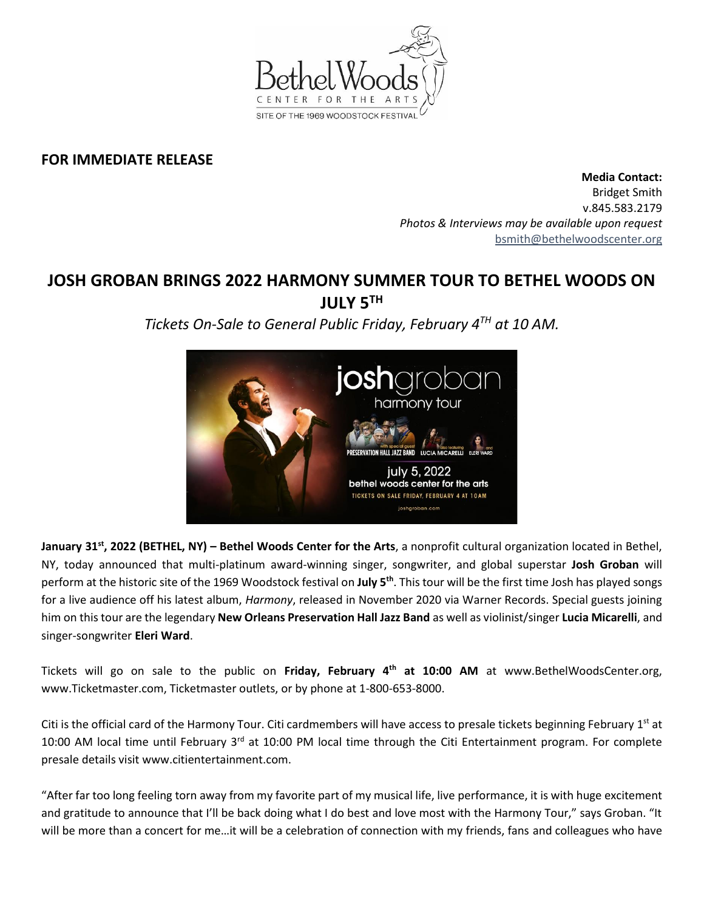

## **FOR IMMEDIATE RELEASE**

**Media Contact:**  Bridget Smith v.845.583.2179 *Photos & Interviews may be available upon request* [bsmith@bethelwoodscenter.org](mailto:bsmith@bethelwoodscenter.org)

## **JOSH GROBAN BRINGS 2022 HARMONY SUMMER TOUR TO BETHEL WOODS ON JULY 5TH**

*Tickets On-Sale to General Public Friday, February 4 TH at 10 AM.*



**January 31<sup>st</sup>, 2022 (BETHEL, NY) – Bethel Woods Center for the Arts, a nonprofit cultural organization located in Bethel,** NY, today announced that multi-platinum award-winning singer, songwriter, and global superstar **Josh Groban** will perform at the historic site of the 1969 Woodstock festival on **July 5th** . This tour will be the first time Josh has played songs for a live audience off his latest album, *Harmony*, released in November 2020 via Warner Records. Special guests joining him on this tour are the legendary **New Orleans Preservation Hall Jazz Band** as well as violinist/singer **Lucia Micarelli**, and singer-songwriter **Eleri Ward**.

Tickets will go on sale to the public on **Friday, February 4th at 10:00 AM** at www.BethelWoodsCenter.org, www.Ticketmaster.com, Ticketmaster outlets, or by phone at 1-800-653-8000.

Citi is the official card of the Harmony Tour. Citi cardmembers will have access to presale tickets beginning February 1<sup>st</sup> at 10:00 AM local time until February  $3^{rd}$  at 10:00 PM local time through the Citi Entertainment program. For complete presale details visit www.citientertainment.com.

"After far too long feeling torn away from my favorite part of my musical life, live performance, it is with huge excitement and gratitude to announce that I'll be back doing what I do best and love most with the Harmony Tour," says Groban. "It will be more than a concert for me...it will be a celebration of connection with my friends, fans and colleagues who have